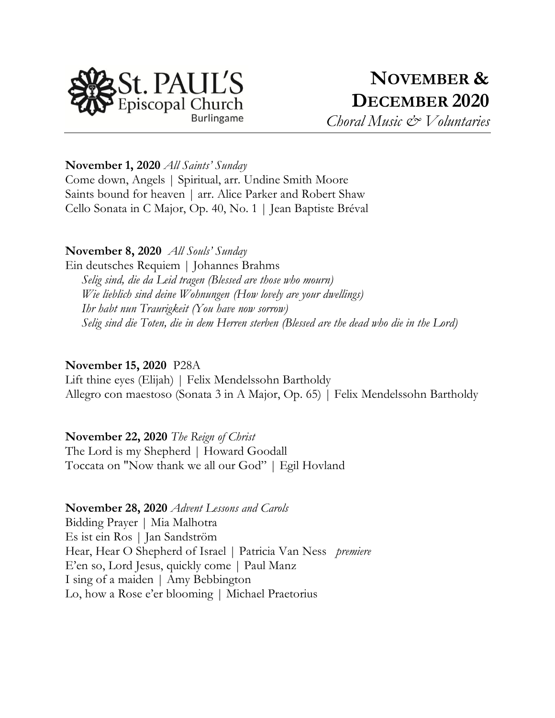

**November 1, 2020** *All Saints' Sunday*

Come down, Angels | Spiritual, arr. Undine Smith Moore Saints bound for heaven | arr. Alice Parker and Robert Shaw Cello Sonata in C Major, Op. 40, No. 1 | Jean Baptiste Bréval

#### **November 8, 2020** *All Souls' Sunday*

Ein deutsches Requiem | Johannes Brahms *Selig sind, die da Leid tragen (Blessed are those who mourn) Wie lieblich sind deine Wohnungen (How lovely are your dwellings) Ihr habt nun Traurigkeit (You have now sorrow) Selig sind die Toten, die in dem Herren sterben (Blessed are the dead who die in the Lord)*

#### **November 15, 2020** P28A

Lift thine eyes (Elijah) | Felix Mendelssohn Bartholdy Allegro con maestoso (Sonata 3 in A Major, Op. 65) | Felix Mendelssohn Bartholdy

## **November 22, 2020** *The Reign of Christ*

The Lord is my Shepherd | Howard Goodall Toccata on "Now thank we all our God" | Egil Hovland

#### **November 28, 2020** *Advent Lessons and Carols*

Bidding Prayer | Mia Malhotra Es ist ein Ros | Jan Sandström Hear, Hear O Shepherd of Israel | Patricia Van Ness *premiere* E'en so, Lord Jesus, quickly come | Paul Manz I sing of a maiden | Amy Bebbington Lo, how a Rose e'er blooming | Michael Praetorius